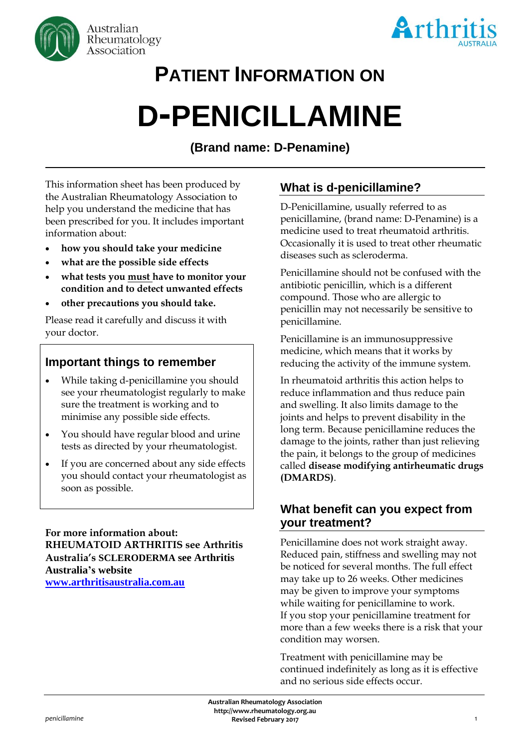



# **PATIENT INFORMATION ON**

# **D-PENICILLAMINE**

# **(Brand name: D-Penamine)**

This information sheet has been produced by the Australian Rheumatology Association to help you understand the medicine that has been prescribed for you. It includes important information about:

- **how you should take your medicine**
- **what are the possible side effects**
- **what tests you must have to monitor your condition and to detect unwanted effects**
- **other precautions you should take.**

Please read it carefully and discuss it with your doctor.

## **Important things to remember**

- While taking d-penicillamine you should see your rheumatologist regularly to make sure the treatment is working and to minimise any possible side effects.
- You should have regular blood and urine tests as directed by your rheumatologist.
- If you are concerned about any side effects you should contact your rheumatologist as soon as possible.

**For more information about: RHEUMATOID ARTHRITIS see Arthritis Australia's SCLERODERMA see Arthritis Australia's website [www.arthritisaustralia.com.au](http://www.arthritisaustralia.com.au/index.php/arthritis-information/information-sheets.html)**

# **What is d-penicillamine?**

D-Penicillamine, usually referred to as penicillamine, (brand name: D-Penamine) is a medicine used to treat rheumatoid arthritis. Occasionally it is used to treat other rheumatic diseases such as scleroderma.

Penicillamine should not be confused with the antibiotic penicillin, which is a different compound. Those who are allergic to penicillin may not necessarily be sensitive to penicillamine.

Penicillamine is an immunosuppressive medicine, which means that it works by reducing the activity of the immune system.

In rheumatoid arthritis this action helps to reduce inflammation and thus reduce pain and swelling. It also limits damage to the joints and helps to prevent disability in the long term. Because penicillamine reduces the damage to the joints, rather than just relieving the pain, it belongs to the group of medicines called **disease modifying antirheumatic drugs (DMARDS)**.

## **What benefit can you expect from your treatment?**

Penicillamine does not work straight away. Reduced pain, stiffness and swelling may not be noticed for several months. The full effect may take up to 26 weeks. Other medicines may be given to improve your symptoms while waiting for penicillamine to work. If you stop your penicillamine treatment for more than a few weeks there is a risk that your condition may worsen.

Treatment with penicillamine may be continued indefinitely as long as it is effective and no serious side effects occur.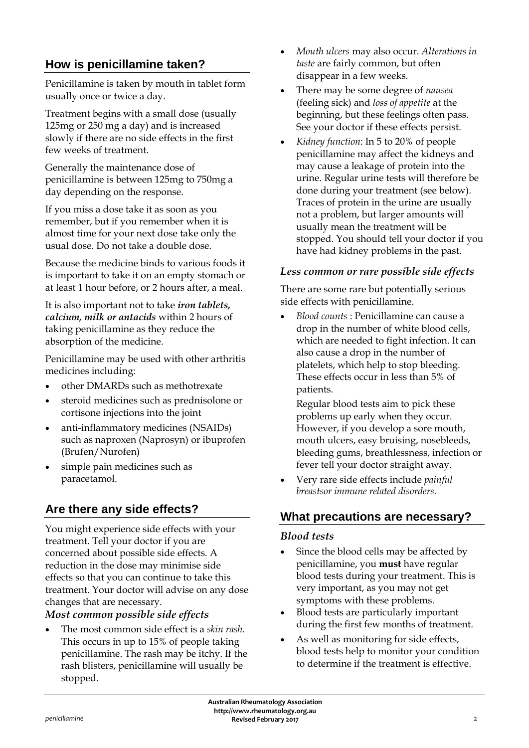# **How is penicillamine taken?**

Penicillamine is taken by mouth in tablet form usually once or twice a day.

Treatment begins with a small dose (usually 125mg or 250 mg a day) and is increased slowly if there are no side effects in the first few weeks of treatment.

Generally the maintenance dose of penicillamine is between 125mg to 750mg a day depending on the response.

If you miss a dose take it as soon as you remember, but if you remember when it is almost time for your next dose take only the usual dose. Do not take a double dose.

Because the medicine binds to various foods it is important to take it on an empty stomach or at least 1 hour before, or 2 hours after, a meal.

It is also important not to take *iron tablets, calcium, milk or antacids* within 2 hours of taking penicillamine as they reduce the absorption of the medicine.

Penicillamine may be used with other arthritis medicines including:

- other DMARDs such as methotrexate
- steroid medicines such as prednisolone or cortisone injections into the joint
- anti-inflammatory medicines (NSAIDs) such as naproxen (Naprosyn) or ibuprofen (Brufen/Nurofen)
- simple pain medicines such as paracetamol.

# **Are there any side effects?**

You might experience side effects with your treatment. Tell your doctor if you are concerned about possible side effects. A reduction in the dose may minimise side effects so that you can continue to take this treatment. Your doctor will advise on any dose changes that are necessary.

#### *Most common possible side effects*

• The most common side effect is a *skin rash*. This occurs in up to 15% of people taking penicillamine. The rash may be itchy. If the rash blisters, penicillamine will usually be stopped.

- *Mouth ulcers* may also occur. *Alterations in taste* are fairly common, but often disappear in a few weeks.
- There may be some degree of *nausea* (feeling sick) and *loss of appetite* at the beginning, but these feelings often pass. See your doctor if these effects persist.
- *Kidney function*: In 5 to 20% of people penicillamine may affect the kidneys and may cause a leakage of protein into the urine. Regular urine tests will therefore be done during your treatment (see below). Traces of protein in the urine are usually not a problem, but larger amounts will usually mean the treatment will be stopped. You should tell your doctor if you have had kidney problems in the past.

#### *Less common or rare possible side effects*

There are some rare but potentially serious side effects with penicillamine.

• *Blood counts* : Penicillamine can cause a drop in the number of white blood cells, which are needed to fight infection. It can also cause a drop in the number of platelets, which help to stop bleeding. These effects occur in less than 5% of patients.

Regular blood tests aim to pick these problems up early when they occur. However, if you develop a sore mouth, mouth ulcers, easy bruising, nosebleeds, bleeding gums, breathlessness, infection or fever tell your doctor straight away.

• Very rare side effects include *painful breastsor immune related disorders.*

# **What precautions are necessary?**

#### *Blood tests*

- Since the blood cells may be affected by penicillamine, you **must** have regular blood tests during your treatment. This is very important, as you may not get symptoms with these problems.
- Blood tests are particularly important during the first few months of treatment.
- As well as monitoring for side effects, blood tests help to monitor your condition to determine if the treatment is effective.